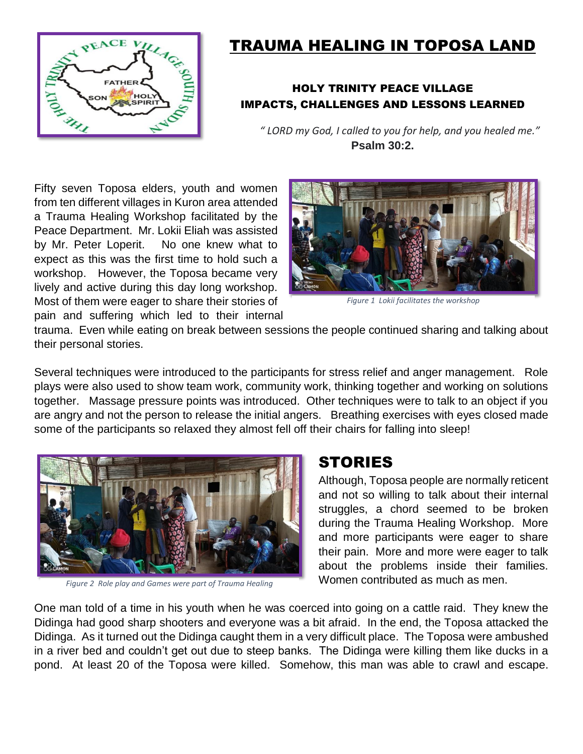

# TRAUMA HEALING IN TOPOSA LAND

#### HOLY TRINITY PEACE VILLAGE IMPACTS, CHALLENGES AND LESSONS LEARNED

*" LORD my God, I called to you for help, and you healed me."*  **Psalm 30:2.**

Fifty seven Toposa elders, youth and women from ten different villages in Kuron area attended a Trauma Healing Workshop facilitated by the Peace Department. Mr. Lokii Eliah was assisted by Mr. Peter Loperit. No one knew what to expect as this was the first time to hold such a workshop. However, the Toposa became very lively and active during this day long workshop. Most of them were eager to share their stories of pain and suffering which led to their internal



*Figure 1 Lokii facilitates the workshop*

trauma. Even while eating on break between sessions the people continued sharing and talking about their personal stories.

Several techniques were introduced to the participants for stress relief and anger management. Role plays were also used to show team work, community work, thinking together and working on solutions together. Massage pressure points was introduced. Other techniques were to talk to an object if you are angry and not the person to release the initial angers. Breathing exercises with eyes closed made some of the participants so relaxed they almost fell off their chairs for falling into sleep!



*Figure 2 Role play and Games were part of Trauma Healing*

### **STORIES**

Although, Toposa people are normally reticent and not so willing to talk about their internal struggles, a chord seemed to be broken during the Trauma Healing Workshop. More and more participants were eager to share their pain. More and more were eager to talk about the problems inside their families. Women contributed as much as men.

One man told of a time in his youth when he was coerced into going on a cattle raid. They knew the Didinga had good sharp shooters and everyone was a bit afraid. In the end, the Toposa attacked the Didinga. As it turned out the Didinga caught them in a very difficult place. The Toposa were ambushed in a river bed and couldn't get out due to steep banks. The Didinga were killing them like ducks in a pond. At least 20 of the Toposa were killed. Somehow, this man was able to crawl and escape.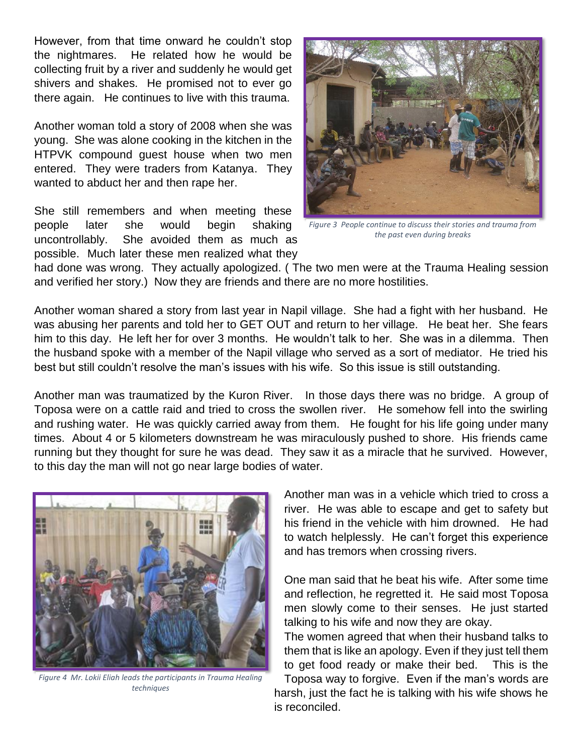However, from that time onward he couldn't stop the nightmares. He related how he would be collecting fruit by a river and suddenly he would get shivers and shakes. He promised not to ever go there again. He continues to live with this trauma.

Another woman told a story of 2008 when she was young. She was alone cooking in the kitchen in the HTPVK compound guest house when two men entered. They were traders from Katanya. They wanted to abduct her and then rape her.

She still remembers and when meeting these people later she would begin shaking uncontrollably. She avoided them as much as possible. Much later these men realized what they



*Figure 3 People continue to discuss their stories and trauma from the past even during breaks*

had done was wrong. They actually apologized. ( The two men were at the Trauma Healing session and verified her story.) Now they are friends and there are no more hostilities.

Another woman shared a story from last year in Napil village. She had a fight with her husband. He was abusing her parents and told her to GET OUT and return to her village. He beat her. She fears him to this day. He left her for over 3 months. He wouldn't talk to her. She was in a dilemma. Then the husband spoke with a member of the Napil village who served as a sort of mediator. He tried his best but still couldn't resolve the man's issues with his wife. So this issue is still outstanding.

Another man was traumatized by the Kuron River. In those days there was no bridge. A group of Toposa were on a cattle raid and tried to cross the swollen river. He somehow fell into the swirling and rushing water. He was quickly carried away from them. He fought for his life going under many times. About 4 or 5 kilometers downstream he was miraculously pushed to shore. His friends came running but they thought for sure he was dead. They saw it as a miracle that he survived. However, to this day the man will not go near large bodies of water.

is reconciled.



*Figure 4 Mr. Lokii Eliah leads the participants in Trauma Healing techniques*

Another man was in a vehicle which tried to cross a river. He was able to escape and get to safety but his friend in the vehicle with him drowned. He had to watch helplessly. He can't forget this experience and has tremors when crossing rivers.

One man said that he beat his wife. After some time and reflection, he regretted it. He said most Toposa men slowly come to their senses. He just started talking to his wife and now they are okay.

The women agreed that when their husband talks to them that is like an apology. Even if they just tell them to get food ready or make their bed. This is the Toposa way to forgive. Even if the man's words are harsh, just the fact he is talking with his wife shows he